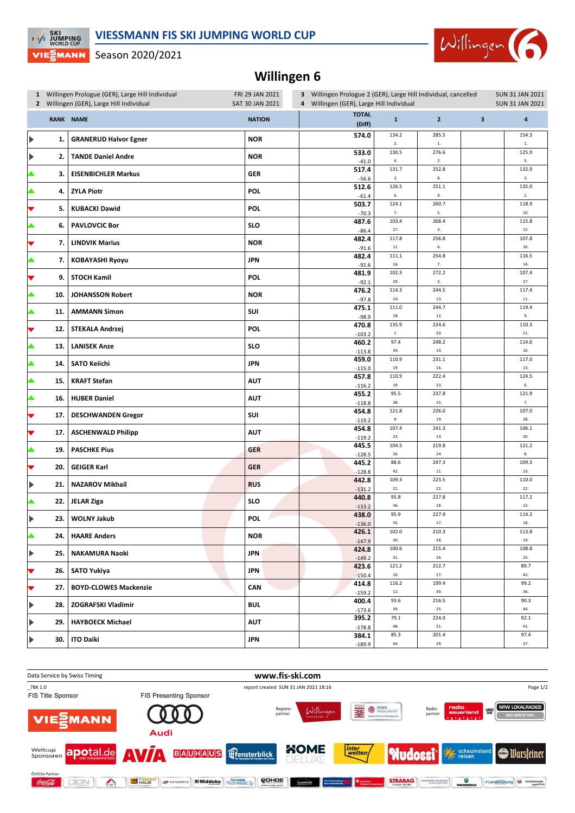## **VIESSMANN FIS SKI JUMPING WORLD CUP**



Season 2020/2021

**EXECUTE SKI**<br>EXP JUMPING<br>WORLD CUP

VIE EMANN

## **Willingen 6**

|                       | 1 Willingen Prologue (GER), Large Hill Individual<br>2 Willingen (GER), Large Hill Individual |                              | FRI 29 JAN 2021<br>SAT 30 JAN 2021 | 3 Willingen Prologue 2 (GER), Large Hill Individual, cancelled<br>4 Willingen (GER), Large Hill Individual |                      |                       |                         | <b>SUN 31 JAN 2021</b><br><b>SUN 31 JAN 2021</b> |  |
|-----------------------|-----------------------------------------------------------------------------------------------|------------------------------|------------------------------------|------------------------------------------------------------------------------------------------------------|----------------------|-----------------------|-------------------------|--------------------------------------------------|--|
|                       |                                                                                               | RANK NAME                    | <b>NATION</b>                      | <b>TOTAL</b><br>(Diff)                                                                                     | $\mathbf{1}$         | $\overline{2}$        | $\overline{\mathbf{3}}$ | $\overline{\mathbf{a}}$                          |  |
| $\blacktriangleright$ | 1.                                                                                            | <b>GRANERUD Halvor Egner</b> | <b>NOR</b>                         | 574.0                                                                                                      | 134.2<br>2.          | 285.5<br>$1. \,$      |                         | 154.3<br>$1. \,$                                 |  |
| $\blacktriangleright$ | 2.                                                                                            | <b>TANDE Daniel Andre</b>    | <b>NOR</b>                         | 533.0<br>$-41.0$                                                                                           | 130.5<br>4.          | 276.6<br>$2.$         |                         | 125.9<br>5.                                      |  |
| ▲                     | З.                                                                                            | <b>EISENBICHLER Markus</b>   | <b>GER</b>                         | 517.4<br>$-56.6$                                                                                           | 131.7<br>3.          | 252.8<br>$\bf 8.$     |                         | 132.9<br>3.                                      |  |
| ▲                     | 4.                                                                                            | <b>ZYLA Piotr</b>            | <b>POL</b>                         | 512.6<br>$-61.4$                                                                                           | 126.5<br>6.          | 251.1<br>9.           |                         | 135.0<br>2.                                      |  |
| ▼                     | 5.                                                                                            | <b>KUBACKI Dawid</b>         | <b>POL</b>                         | 503.7<br>$-70.3$                                                                                           | 124.1<br>7.          | 260.7<br>5.           |                         | 118.9<br>10.                                     |  |
|                       | 6.                                                                                            | <b>PAVLOVCIC Bor</b>         | <b>SLO</b>                         | 487.6<br>$-86.4$                                                                                           | 103.4<br>27.         | 268.4<br>4.           |                         | 115.8<br>15.                                     |  |
| ▼                     | 7.                                                                                            | <b>LINDVIK Marius</b>        | <b>NOR</b>                         | 482.4<br>$-91.6$                                                                                           | 117.8<br>$\bf 11.$   | 256.8<br>6.           |                         | 107.8<br>26.                                     |  |
| ▲                     | 7.                                                                                            | <b>KOBAYASHI Ryoyu</b>       | <b>JPN</b>                         | 482.4<br>$-91.6$                                                                                           | 111.1<br>16.         | 254.8<br>$7. \,$      |                         | 116.5<br>14.                                     |  |
| ▼                     | 9.                                                                                            | <b>STOCH Kamil</b>           | <b>POL</b>                         | 481.9<br>$-92.1$                                                                                           | 102.3<br>29.         | 272.2<br>3.           |                         | 107.4<br>27.                                     |  |
| ▲                     | 10.                                                                                           | <b>JOHANSSON Robert</b>      | <b>NOR</b>                         | 476.2<br>$-97.8$                                                                                           | 114.3<br>$\bf 14.$   | 244.5<br>13.          |                         | 117.4<br>$\bf 11.$                               |  |
| ▲                     | 11.                                                                                           | <b>AMMANN Simon</b>          | SUI                                | 475.1<br>$-98.9$                                                                                           | 111.0<br>18.         | 244.7<br>12.          |                         | 119.4<br>9.                                      |  |
|                       | 12.                                                                                           | <b>STEKALA Andrzej</b>       | <b>POL</b>                         | 470.8<br>$-103.2$                                                                                          | 135.9<br>$1. \,$     | 224.6<br>20.          |                         | 110.3<br>21.                                     |  |
|                       | 13.                                                                                           | <b>LANISEK Anze</b>          | <b>SLO</b>                         | 460.2<br>$-113.8$                                                                                          | 97.4<br>34.<br>110.9 | 248.2<br>10.<br>231.1 |                         | 114.6<br>16.<br>117.0                            |  |
|                       | 14.                                                                                           | <b>SATO Keiichi</b>          | <b>JPN</b>                         | 459.0<br>$-115.0$<br>457.8                                                                                 | 19.<br>110.9         | 16.<br>222.4          |                         | 13.<br>124.5                                     |  |
|                       | 15.                                                                                           | <b>KRAFT Stefan</b>          | <b>AUT</b>                         | $-116.2$<br>455.2                                                                                          | 19.<br>95.5          | 23.<br>237.8          |                         | 6.<br>121.9                                      |  |
|                       | 16.                                                                                           | <b>HUBER Daniel</b>          | <b>AUT</b>                         | $-118.8$<br>454.8                                                                                          | 38.<br>121.8         | 15.<br>226.0          |                         | 7.<br>107.0                                      |  |
| ▼                     | 17.                                                                                           | <b>DESCHWANDEN Gregor</b>    | SUI                                | $-119.2$                                                                                                   | 9.<br>107.4          | 19.<br>241.3          |                         | 28.<br>106.1                                     |  |
| ▼                     | 17.                                                                                           | <b>ASCHENWALD Philipp</b>    | <b>AUT</b>                         | 454.8<br>$-119.2$<br>445.5                                                                                 | 23.<br>104.5         | $14.$<br>219.8        |                         | 30.<br>121.2                                     |  |
| ▲                     | 19.                                                                                           | <b>PASCHKE Pius</b>          | <b>GER</b>                         | $-128.5$<br>445.2                                                                                          | 26.<br>88.6          | 24.<br>247.3          |                         | 8.<br>109.3                                      |  |
| ▼                     | 20.                                                                                           | <b>GEIGER Karl</b>           | <b>GER</b>                         | $-128.8$<br>442.8                                                                                          | 42.<br>109.3         | $\bf 11.$<br>223.5    |                         | 23.<br>110.0                                     |  |
| ▶                     | 21.                                                                                           | <b>NAZAROV Mikhail</b>       | <b>RUS</b>                         | $-131.2$<br>440.8                                                                                          | ${\bf 21}.$<br>95.8  | $22.$<br>227.8        |                         | 22.<br>117.2                                     |  |
| ▲                     | 22.                                                                                           | <b>JELAR Ziga</b>            | <b>SLO</b>                         | $-133.2$<br>438.0                                                                                          | 36.<br>95.9          | 18.<br>227.9          |                         | 12.<br>114.2                                     |  |
| ▶                     | 23.                                                                                           | <b>WOLNY Jakub</b>           | <b>POL</b>                         | $-136.0$<br>426.1                                                                                          | 35.<br>102.0         | $17. \,$<br>210.3     |                         | 18.<br>113.8                                     |  |
| ▲                     | 24.                                                                                           | <b>HAARE Anders</b>          | <b>NOR</b>                         | $-147.9$<br>424.8                                                                                          | 30.<br>100.6         | 28.<br>215.4          |                         | 19.<br>108.8                                     |  |
| $\blacktriangleright$ | 25.                                                                                           | <b>NAKAMURA Naoki</b>        | <b>JPN</b>                         | $-149.2$<br>423.6                                                                                          | 31.<br>121.2         | 26.<br>212.7          |                         | 25.<br>89.7                                      |  |
| ▼                     | 26.                                                                                           | <b>SATO Yukiya</b>           | <b>JPN</b>                         | $-150.4$<br>414.8                                                                                          | $10.$<br>116.2       | 27.<br>199.4          |                         | 45.<br>99.2                                      |  |
| ▼                     | 27.                                                                                           | <b>BOYD-CLOWES Mackenzie</b> | <b>CAN</b>                         | $-159.2$<br>400.4                                                                                          | $12. \,$<br>93.6     | 30.<br>216.5          |                         | 36.<br>90.3                                      |  |
| $\blacktriangleright$ | 28.                                                                                           | ZOGRAFSKI Vladimir           | <b>BUL</b>                         | $-173.6$<br>395.2                                                                                          | 39.<br>79.1          | 25.<br>224.0          |                         | 44.<br>92.1                                      |  |
| $\blacktriangleright$ | 29.                                                                                           | <b>HAYBOECK Michael</b>      | <b>AUT</b>                         | $-178.8$<br>384.1                                                                                          | 48.<br>85.3          | ${\bf 21}.$<br>201.4  |                         | 41.<br>97.4                                      |  |
| $\blacktriangleright$ | 30.                                                                                           | <b>ITO Daiki</b>             | <b>JPN</b>                         | $-189.9$                                                                                                   | 44.                  | 29.                   |                         | 37.                                              |  |